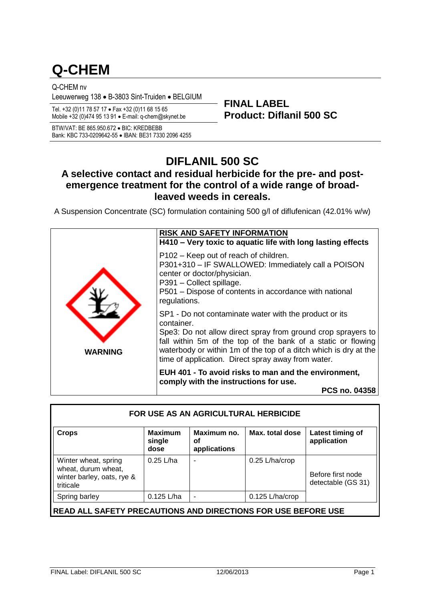# **Q-CHEM**

Q-CHEM nv

Leeuwerweg 138 • B-3803 Sint-Truiden • BELGIUM

**Product: Diflanil 500 SC** Tel. +32 (0)11 78 57 17 Fax +32 (0)11 68 15 65 Mobile +32 (0)474 95 13 91 E-mail: q-chem@skynet.be

BTW/VAT: BE 865.950.672 · BIC: KREDBEBB Bank: KBC 733-0209642-55 · IBAN: BE31 7330 2096 4255

## **DIFLANIL 500 SC**

**FINAL LABEL**

### **A selective contact and residual herbicide for the pre- and postemergence treatment for the control of a wide range of broadleaved weeds in cereals.**

A Suspension Concentrate (SC) formulation containing 500 g/l of diflufenican (42.01% w/w)



| FOR USE AS AN AGRICULTURAL HERBICIDE                                                   |                                  |                                   |                 |                                         |
|----------------------------------------------------------------------------------------|----------------------------------|-----------------------------------|-----------------|-----------------------------------------|
| <b>Crops</b>                                                                           | <b>Maximum</b><br>single<br>dose | Maximum no.<br>οf<br>applications | Max. total dose | Latest timing of<br>application         |
| Winter wheat, spring<br>wheat, durum wheat,<br>winter barley, oats, rye &<br>triticale | 0.25 L/ha                        |                                   | 0.25 L/ha/crop  | Before first node<br>detectable (GS 31) |
| Spring barley                                                                          | $0.125$ L/ha                     | $\overline{\phantom{a}}$          | 0.125 L/ha/crop |                                         |
| <b>READ ALL SAFETY PRECAUTIONS AND DIRECTIONS FOR USE BEFORE USE</b>                   |                                  |                                   |                 |                                         |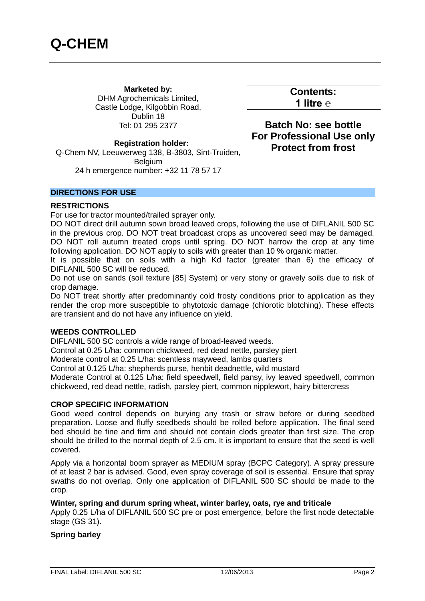**Marketed by:** DHM Agrochemicals Limited, Castle Lodge, Kilgobbin Road, Dublin 18 Tel: 01 295 2377

**Contents: 1 litre ℮**

**Batch No: see bottle For Professional Use only Protect from frost**

#### **Registration holder:**

Q-Chem NV, Leeuwerweg 138, B-3803, Sint-Truiden, **Belgium** 24 h emergence number: +32 11 78 57 17

#### **DIRECTIONS FOR USE**

#### **RESTRICTIONS**

For use for tractor mounted/trailed sprayer only.

DO NOT direct drill autumn sown broad leaved crops, following the use of DIFLANIL 500 SC in the previous crop. DO NOT treat broadcast crops as uncovered seed may be damaged. DO NOT roll autumn treated crops until spring. DO NOT harrow the crop at any time following application. DO NOT apply to soils with greater than 10 % organic matter.

It is possible that on soils with a high Kd factor (greater than 6) the efficacy of DIFLANIL 500 SC will be reduced.

Do not use on sands (soil texture [85] System) or very stony or gravely soils due to risk of crop damage.

Do NOT treat shortly after predominantly cold frosty conditions prior to application as they render the crop more susceptible to phytotoxic damage (chlorotic blotching). These effects are transient and do not have any influence on yield.

#### **WEEDS CONTROLLED**

DIFLANIL 500 SC controls a wide range of broad-leaved weeds.

Control at 0.25 L/ha: common chickweed, red dead nettle, parsley piert

Moderate control at 0.25 L/ha: scentless mayweed, lambs quarters

Control at 0.125 L/ha: shepherds purse, henbit deadnettle, wild mustard

Moderate Control at 0.125 L/ha: field speedwell, field pansy, ivy leaved speedwell, common chickweed, red dead nettle, radish, parsley piert, common nipplewort, hairy bittercress

#### **CROP SPECIFIC INFORMATION**

Good weed control depends on burying any trash or straw before or during seedbed preparation. Loose and fluffy seedbeds should be rolled before application. The final seed bed should be fine and firm and should not contain clods greater than first size. The crop should be drilled to the normal depth of 2.5 cm. It is important to ensure that the seed is well covered.

Apply via a horizontal boom sprayer as MEDIUM spray (BCPC Category). A spray pressure of at least 2 bar is advised. Good, even spray coverage of soil is essential. Ensure that spray swaths do not overlap. Only one application of DIFLANIL 500 SC should be made to the crop.

#### **Winter, spring and durum spring wheat, winter barley, oats, rye and triticale**

Apply 0.25 L/ha of DIFLANIL 500 SC pre or post emergence, before the first node detectable stage (GS 31).

#### **Spring barley**